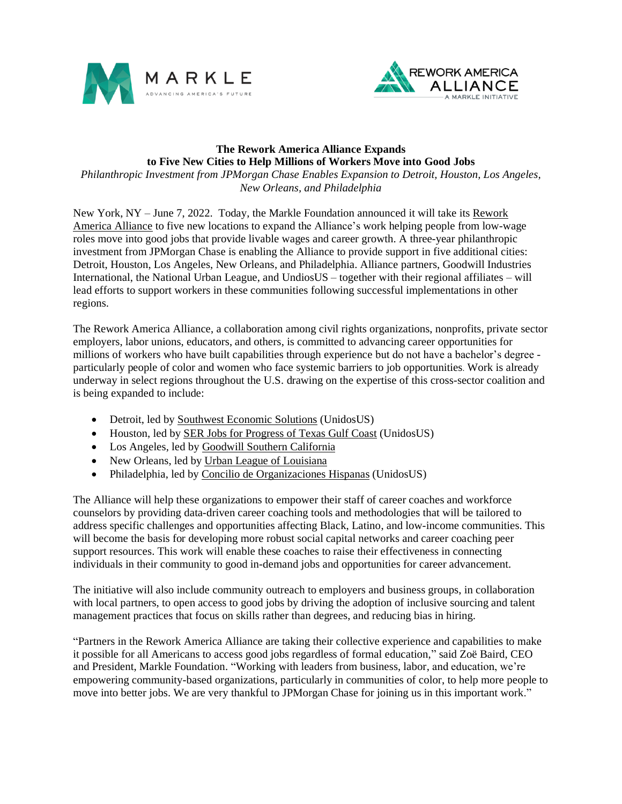



## **The Rework America Alliance Expands to Five New Cities to Help Millions of Workers Move into Good Jobs**

*Philanthropic Investment from JPMorgan Chase Enables Expansion to Detroit, Houston, Los Angeles, New Orleans, and Philadelphia*

New York, NY – June 7, 2022. Today, the Markle Foundation announced it will take its [Rework](http://www.markle.org/alliance)  [America Alliance](http://www.markle.org/alliance) to five new locations to expand the Alliance's work helping people from low-wage roles move into good jobs that provide livable wages and career growth. A three-year philanthropic investment from JPMorgan Chase is enabling the Alliance to provide support in five additional cities: Detroit, Houston, Los Angeles, New Orleans, and Philadelphia. Alliance partners, Goodwill Industries International, the National Urban League, and UndiosUS – together with their regional affiliates – will lead efforts to support workers in these communities following successful implementations in other regions.

The Rework America Alliance, a collaboration among civil rights organizations, nonprofits, private sector employers, labor unions, educators, and others, is committed to advancing career opportunities for millions of workers who have built capabilities through experience but do not have a bachelor's degree particularly people of color and women who face systemic barriers to job opportunities. Work is already underway in select regions throughout the U.S. drawing on the expertise of this cross-sector coalition and is being expanded to include:

- Detroit, led b[y Southwest Economic Solutions](https://www.swsol.org/southwest-economic-solutions/) (UnidosUS)
- Houston, led by [SER Jobs for Progress of Texas Gulf Coast](https://www.volunteerhou.org/agency/detail/?agency_id=21246) (UnidosUS)
- Los Angeles, led b[y Goodwill Southern California](https://www.goodwillsocal.org/)
- New Orleans, led by [Urban League of Louisiana](https://urbanleaguela.org/)
- Philadelphia, led by [Concilio de Organizaciones Hispanas](https://www.elconcilio.net/mission/) (UnidosUS)

The Alliance will help these organizations to empower their staff of career coaches and workforce counselors by providing data-driven career coaching tools and methodologies that will be tailored to address specific challenges and opportunities affecting Black, Latino, and low-income communities. This will become the basis for developing more robust social capital networks and career coaching peer support resources. This work will enable these coaches to raise their effectiveness in connecting individuals in their community to good in-demand jobs and opportunities for career advancement.

The initiative will also include community outreach to employers and business groups, in collaboration with local partners, to open access to good jobs by driving the adoption of inclusive sourcing and talent management practices that focus on skills rather than degrees, and reducing bias in hiring.

"Partners in the Rework America Alliance are taking their collective experience and capabilities to make it possible for all Americans to access good jobs regardless of formal education," said Zoë Baird, CEO and President, Markle Foundation. "Working with leaders from business, labor, and education, we're empowering community-based organizations, particularly in communities of color, to help more people to move into better jobs. We are very thankful to JPMorgan Chase for joining us in this important work."